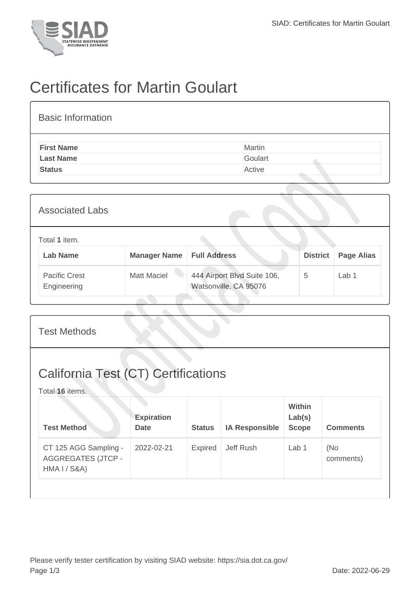

## Certificates for Martin Goulart

| <b>Basic Information</b> |         |
|--------------------------|---------|
| <b>First Name</b>        | Martin  |
| <b>Last Name</b>         | Goulart |
| <b>Status</b>            | Active  |

| <b>Associated Labs</b>              |                     |                                                      |                 |                   |
|-------------------------------------|---------------------|------------------------------------------------------|-----------------|-------------------|
| Total 1 item.<br><b>Lab Name</b>    | <b>Manager Name</b> | <b>Full Address</b>                                  | <b>District</b> | <b>Page Alias</b> |
| <b>Pacific Crest</b><br>Engineering | <b>Matt Maciel</b>  | 444 Airport Blvd Suite 106,<br>Watsonville, CA 95076 | 5               | Lab 1             |

| <b>Test Methods</b>                                                           |                                  |               |                       |                                  |                  |  |
|-------------------------------------------------------------------------------|----------------------------------|---------------|-----------------------|----------------------------------|------------------|--|
| <b>California Test (CT) Certifications</b><br>Total 16 items.                 |                                  |               |                       |                                  |                  |  |
| <b>Test Method</b>                                                            | <b>Expiration</b><br><b>Date</b> | <b>Status</b> | <b>IA Responsible</b> | Within<br>Lab(s)<br><b>Scope</b> | <b>Comments</b>  |  |
| CT 125 AGG Sampling -<br><b>AGGREGATES (JTCP -</b><br><b>HMA I / S&amp;A)</b> | 2022-02-21                       | Expired       | Jeff Rush             | Lab 1                            | (No<br>comments) |  |
|                                                                               |                                  |               |                       |                                  |                  |  |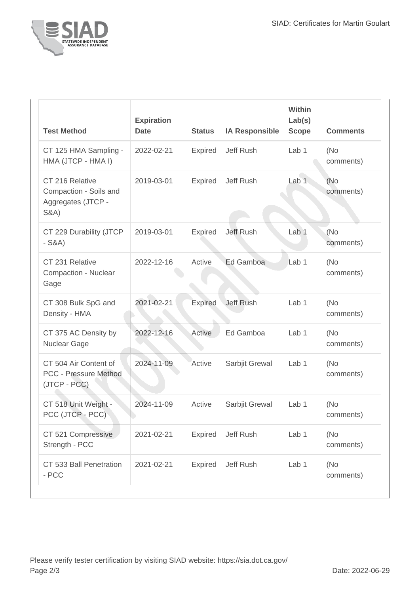

| <b>Test Method</b>                                                                 | <b>Expiration</b><br><b>Date</b> | <b>Status</b>  | <b>IA Responsible</b> | Within<br>Lab(s)<br><b>Scope</b> | <b>Comments</b>   |
|------------------------------------------------------------------------------------|----------------------------------|----------------|-----------------------|----------------------------------|-------------------|
| CT 125 HMA Sampling -<br>HMA (JTCP - HMA I)                                        | 2022-02-21                       | Expired        | Jeff Rush             | Lab <sub>1</sub>                 | (No<br>comments)  |
| CT 216 Relative<br>Compaction - Soils and<br>Aggregates (JTCP -<br><b>S&amp;A)</b> | 2019-03-01                       | Expired        | Jeff Rush             | Lab <sub>1</sub>                 | (No<br>comments)  |
| CT 229 Durability (JTCP<br>$-S&A)$                                                 | 2019-03-01                       | <b>Expired</b> | <b>Jeff Rush</b>      | Lab <sub>1</sub>                 | (No<br>comments)  |
| CT 231 Relative<br><b>Compaction - Nuclear</b><br>Gage                             | 2022-12-16                       | Active         | Ed Gamboa             | Lab <sub>1</sub>                 | (No<br>comments)  |
| CT 308 Bulk SpG and<br>Density - HMA                                               | 2021-02-21                       | Expired        | <b>Jeff Rush</b>      | Lab <sub>1</sub>                 | (No<br>comments)  |
| CT 375 AC Density by<br>Nuclear Gage                                               | 2022-12-16                       | Active         | Ed Gamboa             | Lab 1                            | (No<br>comments)  |
| CT 504 Air Content of<br><b>PCC - Pressure Method</b><br>(JTCP - PCC)              | 2024-11-09                       | Active         | Sarbjit Grewal        | Lab <sub>1</sub>                 | (No)<br>comments) |
| CT 518 Unit Weight -<br>PCC (JTCP - PCC)                                           | 2024-11-09                       | Active         | Sarbjit Grewal        | Lab <sub>1</sub>                 | (No<br>comments)  |
| CT 521 Compressive<br>Strength - PCC                                               | 2021-02-21                       | Expired        | Jeff Rush             | Lab 1                            | (No<br>comments)  |
| CT 533 Ball Penetration<br>- PCC                                                   | 2021-02-21                       | Expired        | Jeff Rush             | Lab 1                            | (No<br>comments)  |